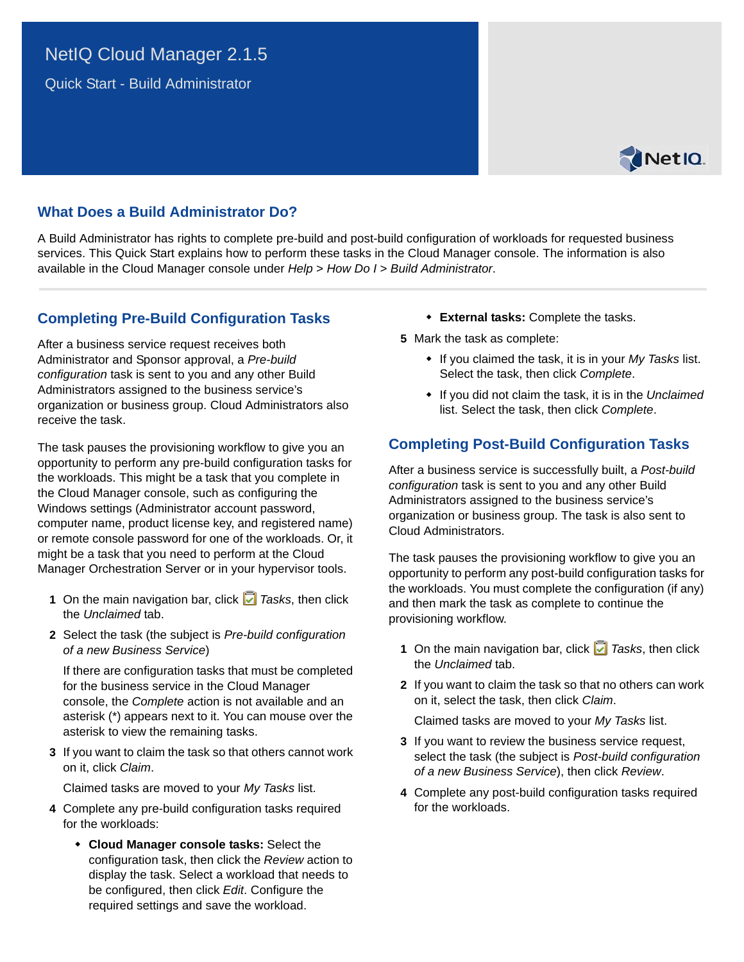## NetIQ Cloud Manager 2.1.5

Quick Start - Build Administrator



## **What Does a Build Administrator Do?**

A Build Administrator has rights to complete pre-build and post-build configuration of workloads for requested business services. This Quick Start explains how to perform these tasks in the Cloud Manager console. The information is also available in the Cloud Manager console under *Help* > *How Do I* > *Build Administrator*.

## **Completing Pre-Build Configuration Tasks**

After a business service request receives both Administrator and Sponsor approval, a *Pre-build configuration* task is sent to you and any other Build Administrators assigned to the business service's organization or business group. Cloud Administrators also receive the task.

The task pauses the provisioning workflow to give you an opportunity to perform any pre-build configuration tasks for the workloads. This might be a task that you complete in the Cloud Manager console, such as configuring the Windows settings (Administrator account password, computer name, product license key, and registered name) or remote console password for one of the workloads. Or, it might be a task that you need to perform at the Cloud Manager Orchestration Server or in your hypervisor tools.

- **1** On the main navigation bar, click *Tasks*, then click the *Unclaimed* tab.
- **2** Select the task (the subject is *Pre-build configuration of a new Business Service*)

If there are configuration tasks that must be completed for the business service in the Cloud Manager console, the *Complete* action is not available and an asterisk (\*) appears next to it. You can mouse over the asterisk to view the remaining tasks.

**3** If you want to claim the task so that others cannot work on it, click *Claim*.

Claimed tasks are moved to your *My Tasks* list.

- **4** Complete any pre-build configuration tasks required for the workloads:
	- **Cloud Manager console tasks:** Select the configuration task, then click the *Review* action to display the task. Select a workload that needs to be configured, then click *Edit*. Configure the required settings and save the workload.
- **External tasks:** Complete the tasks.
- **5** Mark the task as complete:
	- If you claimed the task, it is in your *My Tasks* list. Select the task, then click *Complete*.
	- If you did not claim the task, it is in the *Unclaimed* list. Select the task, then click *Complete*.

## **Completing Post-Build Configuration Tasks**

After a business service is successfully built, a *Post-build configuration* task is sent to you and any other Build Administrators assigned to the business service's organization or business group. The task is also sent to Cloud Administrators.

The task pauses the provisioning workflow to give you an opportunity to perform any post-build configuration tasks for the workloads. You must complete the configuration (if any) and then mark the task as complete to continue the provisioning workflow.

- **1** On the main navigation bar, click *Tasks*, then click the *Unclaimed* tab.
- **2** If you want to claim the task so that no others can work on it, select the task, then click *Claim*.

Claimed tasks are moved to your *My Tasks* list.

- **3** If you want to review the business service request, select the task (the subject is *Post-build configuration of a new Business Service*), then click *Review*.
- **4** Complete any post-build configuration tasks required for the workloads.